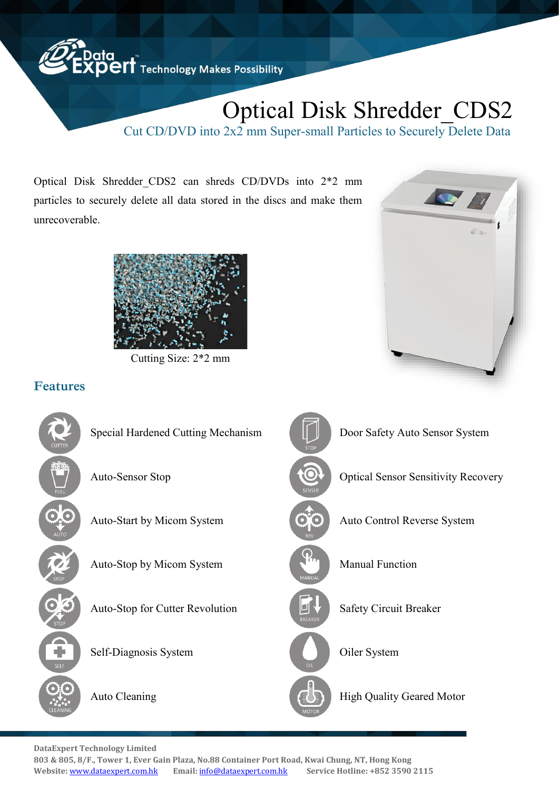

# Optical Disk Shredder\_CDS2

Cut CD/DVD into 2x2 mm Super-small Particles to Securely Delete Data

Optical Disk Shredder\_CDS2 can shreds CD/DVDs into 2\*2 mm particles to securely delete all data stored in the discs and make them unrecoverable.



Cutting Size: 2\*2 mm



## Features



**DataExpert Technology Limited** 

**803 & 805, 8/F., Tower 1, Ever Gain Plaza, No.88 Container Port Road, Kwai Chung, NT, Hong Kong Website:** <www.dataexpert.com.hk> **Email:** [info@dataexpert.com.hk](mailto:info@dataexpert.com.hk) **Service Hotline: +852 3590 2115**